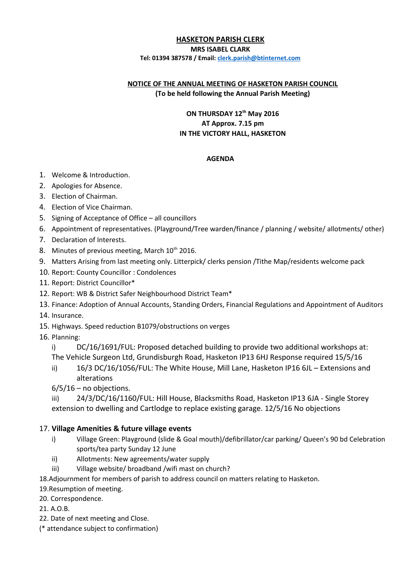#### **HASKETON PARISH CLERK**

#### **MRS ISABEL CLARK Tel: 01394 387578 / Email: [clerk.parish@btinternet.com](mailto:clerk.parish@btinternet.com)**

#### **NOTICE OF THE ANNUAL MEETING OF HASKETON PARISH COUNCIL (To be held following the Annual Parish Meeting)**

## **ON THURSDAY 12th May 2016 AT Approx. 7.15 pm IN THE VICTORY HALL, HASKETON**

#### **AGENDA**

- 1. Welcome & Introduction.
- 2. Apologies for Absence.
- 3. Election of Chairman.
- 4. Election of Vice Chairman.
- 5. Signing of Acceptance of Office all councillors
- 6. Appointment of representatives. (Playground/Tree warden/finance / planning / website/ allotments/ other)
- 7. Declaration of Interests.
- 8. Minutes of previous meeting, March  $10^{th}$  2016.
- 9. Matters Arising from last meeting only. Litterpick/ clerks pension /Tithe Map/residents welcome pack
- 10. Report: County Councillor : Condolences
- 11. Report: District Councillor\*
- 12. Report: WB & District Safer Neighbourhood District Team\*
- 13. Finance: Adoption of Annual Accounts, Standing Orders, Financial Regulations and Appointment of Auditors
- 14. Insurance.
- 15. Highways. Speed reduction B1079/obstructions on verges
- 16. Planning:
	- i) DC/16/1691/FUL: Proposed detached building to provide two additional workshops at: The Vehicle Surgeon Ltd, Grundisburgh Road, Hasketon IP13 6HJ Response required 15/5/16
	- ii) 16/3 DC/16/1056/FUL: The White House, Mill Lane, Hasketon IP16 6JL Extensions and alterations
	- $6/5/16$  no objections.

iii) 24/3/DC/16/1160/FUL: Hill House, Blacksmiths Road, Hasketon IP13 6JA - Single Storey extension to dwelling and Cartlodge to replace existing garage. 12/5/16 No objections

## 17. **Village Amenities & future village events**

- i) Village Green: Playground (slide & Goal mouth)/defibrillator/car parking/ Queen's 90 bd Celebration sports/tea party Sunday 12 June
- ii) Allotments: New agreements/water supply
- iii) Village website/ broadband /wifi mast on church?
- 18.Adjournment for members of parish to address council on matters relating to Hasketon.
- 19.Resumption of meeting.
- 20. Correspondence.
- 21. A.O.B.
- 22. Date of next meeting and Close.
- (\* attendance subject to confirmation)